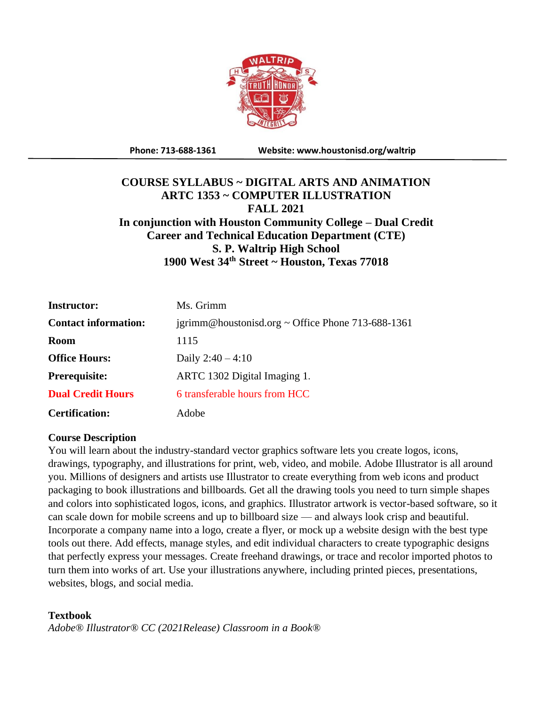

**Phone: 713-688-1361 Website: www.houstonisd.org/waltrip**

# **COURSE SYLLABUS ~ DIGITAL ARTS AND ANIMATION ARTC 1353 ~ COMPUTER ILLUSTRATION FALL 2021 In conjunction with Houston Community College – Dual Credit Career and Technical Education Department (CTE) S. P. Waltrip High School 1900 West 34th Street ~ Houston, Texas 77018**

| <b>Instructor:</b>          | Ms. Grimm                                         |
|-----------------------------|---------------------------------------------------|
| <b>Contact information:</b> | igrimm@houstonisd.org ~ Office Phone 713-688-1361 |
| <b>Room</b>                 | 1115                                              |
| <b>Office Hours:</b>        | Daily $2:40 - 4:10$                               |
| <b>Prerequisite:</b>        | ARTC 1302 Digital Imaging 1.                      |
| <b>Dual Credit Hours</b>    | 6 transferable hours from HCC                     |
| <b>Certification:</b>       | Adobe                                             |

# **Course Description**

You will learn about the industry-standard vector graphics software lets you create logos, icons, drawings, typography, and illustrations for print, web, video, and mobile. Adobe Illustrator is all around you. Millions of designers and artists use Illustrator to create everything from web icons and product packaging to book illustrations and billboards. Get all the drawing tools you need to turn simple shapes and colors into sophisticated logos, icons, and graphics. Illustrator artwork is vector-based software, so it can scale down for mobile screens and up to billboard size — and always look crisp and beautiful. Incorporate a company name into a logo, create a flyer, or mock up a website design with the best type tools out there. Add effects, manage styles, and edit individual characters to create typographic designs that perfectly express your messages. Create freehand drawings, or trace and recolor imported photos to turn them into works of art. Use your illustrations anywhere, including printed pieces, presentations, websites, blogs, and social media.

# **Textbook**

*Adobe® Illustrator® CC (2021Release) Classroom in a Book®*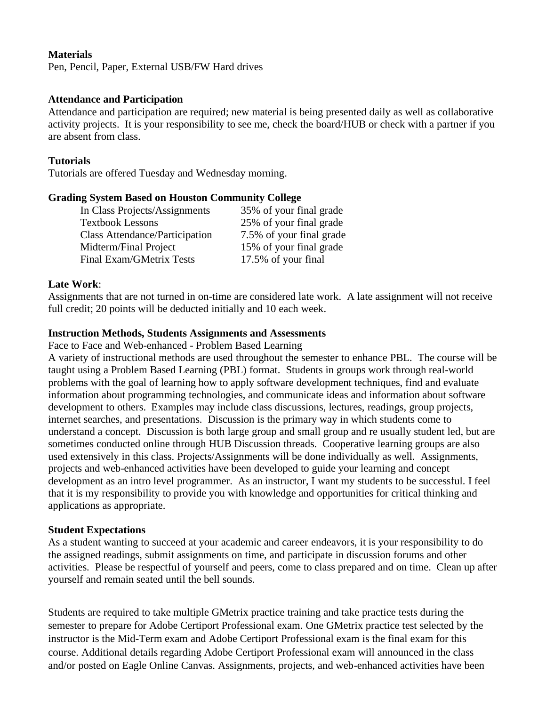# **Materials**

Pen, Pencil, Paper, External USB/FW Hard drives

#### **Attendance and Participation**

Attendance and participation are required; new material is being presented daily as well as collaborative activity projects. It is your responsibility to see me, check the board/HUB or check with a partner if you are absent from class.

### **Tutorials**

Tutorials are offered Tuesday and Wednesday morning.

#### **Grading System Based on Houston Community College**

In Class Projects/Assignments 35% of your final grade Textbook Lessons 25% of your final grade Class Attendance/Participation 7.5% of your final grade Midterm/Final Project 15% of your final grade Final Exam/GMetrix Tests 17.5% of your final

#### **Late Work**:

Assignments that are not turned in on-time are considered late work. A late assignment will not receive full credit; 20 points will be deducted initially and 10 each week.

# **Instruction Methods, Students Assignments and Assessments**

Face to Face and Web-enhanced - Problem Based Learning

A variety of instructional methods are used throughout the semester to enhance PBL. The course will be taught using a Problem Based Learning (PBL) format. Students in groups work through real-world problems with the goal of learning how to apply software development techniques, find and evaluate information about programming technologies, and communicate ideas and information about software development to others. Examples may include class discussions, lectures, readings, group projects, internet searches, and presentations. Discussion is the primary way in which students come to understand a concept. Discussion is both large group and small group and re usually student led, but are sometimes conducted online through HUB Discussion threads. Cooperative learning groups are also used extensively in this class. Projects/Assignments will be done individually as well. Assignments, projects and web-enhanced activities have been developed to guide your learning and concept development as an intro level programmer. As an instructor, I want my students to be successful. I feel that it is my responsibility to provide you with knowledge and opportunities for critical thinking and applications as appropriate.

#### **Student Expectations**

As a student wanting to succeed at your academic and career endeavors, it is your responsibility to do the assigned readings, submit assignments on time, and participate in discussion forums and other activities. Please be respectful of yourself and peers, come to class prepared and on time. Clean up after yourself and remain seated until the bell sounds.

Students are required to take multiple GMetrix practice training and take practice tests during the semester to prepare for Adobe Certiport Professional exam. One GMetrix practice test selected by the instructor is the Mid-Term exam and Adobe Certiport Professional exam is the final exam for this course. Additional details regarding Adobe Certiport Professional exam will announced in the class and/or posted on Eagle Online Canvas. Assignments, projects, and web-enhanced activities have been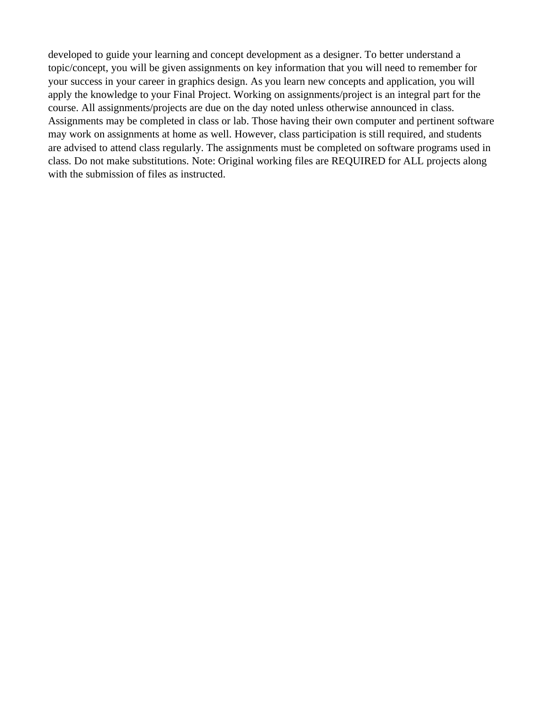developed to guide your learning and concept development as a designer. To better understand a topic/concept, you will be given assignments on key information that you will need to remember for your success in your career in graphics design. As you learn new concepts and application, you will apply the knowledge to your Final Project. Working on assignments/project is an integral part for the course. All assignments/projects are due on the day noted unless otherwise announced in class. Assignments may be completed in class or lab. Those having their own computer and pertinent software may work on assignments at home as well. However, class participation is still required, and students are advised to attend class regularly. The assignments must be completed on software programs used in class. Do not make substitutions. Note: Original working files are REQUIRED for ALL projects along with the submission of files as instructed.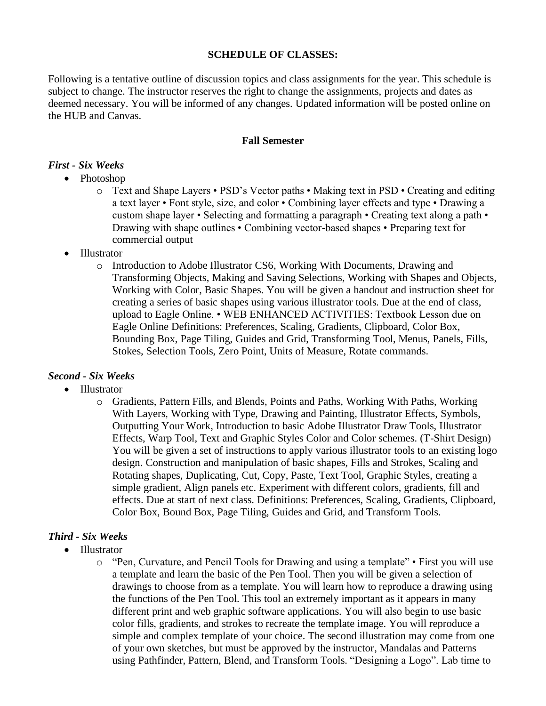# **SCHEDULE OF CLASSES:**

Following is a tentative outline of discussion topics and class assignments for the year. This schedule is subject to change. The instructor reserves the right to change the assignments, projects and dates as deemed necessary. You will be informed of any changes. Updated information will be posted online on the HUB and Canvas.

# **Fall Semester**

# *First - Six Weeks*

- Photoshop
	- o Text and Shape Layers PSD's Vector paths Making text in PSD Creating and editing a text layer • Font style, size, and color • Combining layer effects and type • Drawing a custom shape layer • Selecting and formatting a paragraph • Creating text along a path • Drawing with shape outlines • Combining vector-based shapes • Preparing text for commercial output
- Illustrator
	- o Introduction to Adobe Illustrator CS6, Working With Documents, Drawing and Transforming Objects, Making and Saving Selections, Working with Shapes and Objects, Working with Color, Basic Shapes. You will be given a handout and instruction sheet for creating a series of basic shapes using various illustrator tools. Due at the end of class, upload to Eagle Online. • WEB ENHANCED ACTIVITIES: Textbook Lesson due on Eagle Online Definitions: Preferences, Scaling, Gradients, Clipboard, Color Box, Bounding Box, Page Tiling, Guides and Grid, Transforming Tool, Menus, Panels, Fills, Stokes, Selection Tools, Zero Point, Units of Measure, Rotate commands.

# *Second - Six Weeks*

- Illustrator
	- o Gradients, Pattern Fills, and Blends, Points and Paths, Working With Paths, Working With Layers, Working with Type, Drawing and Painting, Illustrator Effects, Symbols, Outputting Your Work, Introduction to basic Adobe Illustrator Draw Tools, Illustrator Effects, Warp Tool, Text and Graphic Styles Color and Color schemes. (T-Shirt Design) You will be given a set of instructions to apply various illustrator tools to an existing logo design. Construction and manipulation of basic shapes, Fills and Strokes, Scaling and Rotating shapes, Duplicating, Cut, Copy, Paste, Text Tool, Graphic Styles, creating a simple gradient, Align panels etc. Experiment with different colors, gradients, fill and effects. Due at start of next class. Definitions: Preferences, Scaling, Gradients, Clipboard, Color Box, Bound Box, Page Tiling, Guides and Grid, and Transform Tools.

# *Third - Six Weeks*

- Illustrator
	- o "Pen, Curvature, and Pencil Tools for Drawing and using a template" First you will use a template and learn the basic of the Pen Tool. Then you will be given a selection of drawings to choose from as a template. You will learn how to reproduce a drawing using the functions of the Pen Tool. This tool an extremely important as it appears in many different print and web graphic software applications. You will also begin to use basic color fills, gradients, and strokes to recreate the template image. You will reproduce a simple and complex template of your choice. The second illustration may come from one of your own sketches, but must be approved by the instructor, Mandalas and Patterns using Pathfinder, Pattern, Blend, and Transform Tools. "Designing a Logo". Lab time to